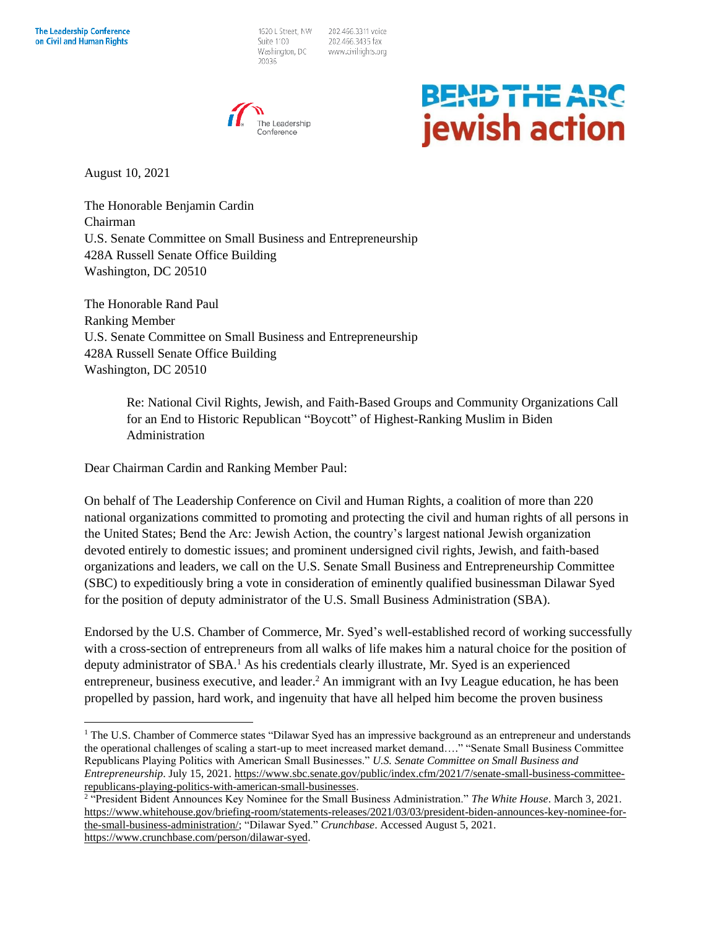1620 L Street, NW Suite 1100 Washington, DC 20036

202.466.3311 voice 202.466.3435 fax www.civilrights.org



## **BEND THE ARC** jewish action

August 10, 2021

The Honorable Benjamin Cardin Chairman U.S. Senate Committee on Small Business and Entrepreneurship 428A Russell Senate Office Building Washington, DC 20510

The Honorable Rand Paul Ranking Member U.S. Senate Committee on Small Business and Entrepreneurship 428A Russell Senate Office Building Washington, DC 20510

> Re: National Civil Rights, Jewish, and Faith-Based Groups and Community Organizations Call for an End to Historic Republican "Boycott" of Highest-Ranking Muslim in Biden Administration

Dear Chairman Cardin and Ranking Member Paul:

On behalf of The Leadership Conference on Civil and Human Rights, a coalition of more than 220 national organizations committed to promoting and protecting the civil and human rights of all persons in the United States; Bend the Arc: Jewish Action, the country's largest national Jewish organization devoted entirely to domestic issues; and prominent undersigned civil rights, Jewish, and faith-based organizations and leaders, we call on the U.S. Senate Small Business and Entrepreneurship Committee (SBC) to expeditiously bring a vote in consideration of eminently qualified businessman Dilawar Syed for the position of deputy administrator of the U.S. Small Business Administration (SBA).

Endorsed by the U.S. Chamber of Commerce, Mr. Syed's well-established record of working successfully with a cross-section of entrepreneurs from all walks of life makes him a natural choice for the position of deputy administrator of SBA.<sup>1</sup> As his credentials clearly illustrate, Mr. Syed is an experienced entrepreneur, business executive, and leader.<sup>2</sup> An immigrant with an Ivy League education, he has been propelled by passion, hard work, and ingenuity that have all helped him become the proven business

<sup>&</sup>lt;sup>1</sup> The U.S. Chamber of Commerce states "Dilawar Syed has an impressive background as an entrepreneur and understands the operational challenges of scaling a start-up to meet increased market demand…." "Senate Small Business Committee Republicans Playing Politics with American Small Businesses." *U.S. Senate Committee on Small Business and Entrepreneurship*. July 15, 2021. [https://www.sbc.senate.gov/public/index.cfm/2021/7/senate-small-business-committee](https://www.sbc.senate.gov/public/index.cfm/2021/7/senate-small-business-committee-republicans-playing-politics-with-american-small-businesses)[republicans-playing-politics-with-american-small-businesses.](https://www.sbc.senate.gov/public/index.cfm/2021/7/senate-small-business-committee-republicans-playing-politics-with-american-small-businesses) 2 "President Bident Announces Key Nominee for the Small Business Administration." *The White House*. March 3, 2021.

[https://www.whitehouse.gov/briefing-room/statements-releases/2021/03/03/president-biden-announces-key-nominee-for](https://www.whitehouse.gov/briefing-room/statements-releases/2021/03/03/president-biden-announces-key-nominee-for-the-small-business-administration/)[the-small-business-administration/;](https://www.whitehouse.gov/briefing-room/statements-releases/2021/03/03/president-biden-announces-key-nominee-for-the-small-business-administration/) "Dilawar Syed." *Crunchbase*. Accessed August 5, 2021. [https://www.crunchbase.com/person/dilawar-syed.](https://www.crunchbase.com/person/dilawar-syed)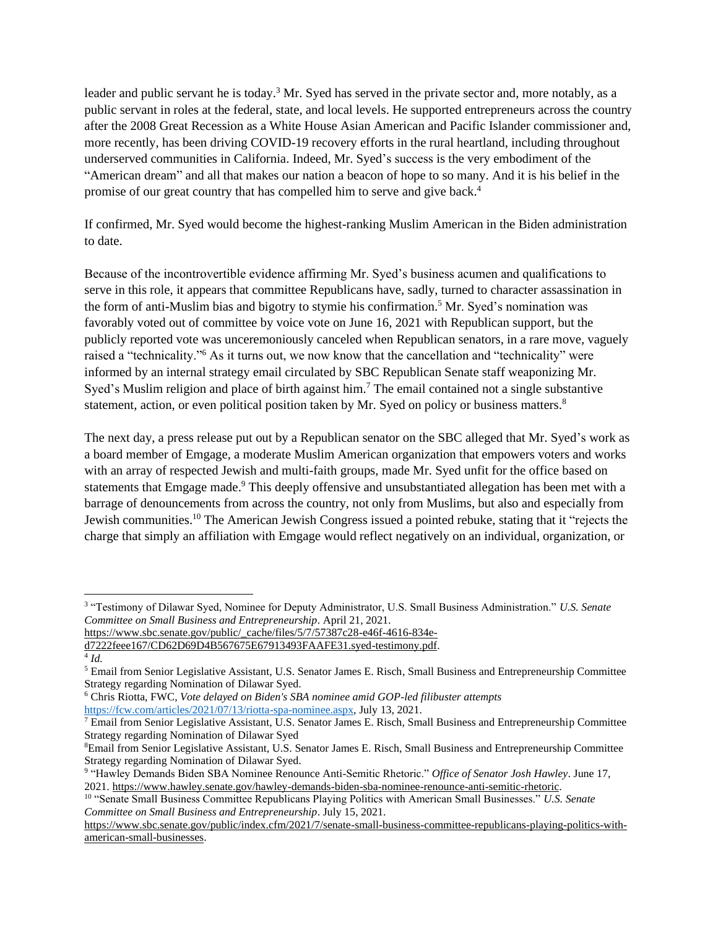leader and public servant he is today.<sup>3</sup> Mr. Syed has served in the private sector and, more notably, as a public servant in roles at the federal, state, and local levels. He supported entrepreneurs across the country after the 2008 Great Recession as a White House Asian American and Pacific Islander commissioner and, more recently, has been driving COVID-19 recovery efforts in the rural heartland, including throughout underserved communities in California. Indeed, Mr. Syed's success is the very embodiment of the "American dream" and all that makes our nation a beacon of hope to so many. And it is his belief in the promise of our great country that has compelled him to serve and give back.<sup>4</sup>

If confirmed, Mr. Syed would become the highest-ranking Muslim American in the Biden administration to date.

Because of the incontrovertible evidence affirming Mr. Syed's business acumen and qualifications to serve in this role, it appears that committee Republicans have, sadly, turned to character assassination in the form of anti-Muslim bias and bigotry to stymie his confirmation.<sup>5</sup> Mr. Syed's nomination was favorably voted out of committee by voice vote on June 16, 2021 with Republican support, but the publicly reported vote was unceremoniously canceled when Republican senators, in a rare move, vaguely raised a "technicality."<sup>6</sup> As it turns out, we now know that the cancellation and "technicality" were informed by an internal strategy email circulated by SBC Republican Senate staff weaponizing Mr. Syed's Muslim religion and place of birth against him.<sup>7</sup> The email contained not a single substantive statement, action, or even political position taken by Mr. Syed on policy or business matters.<sup>8</sup>

The next day, a press release put out by a Republican senator on the SBC alleged that Mr. Syed's work as a board member of Emgage, a moderate Muslim American organization that empowers voters and works with an array of respected Jewish and multi-faith groups, made Mr. Syed unfit for the office based on statements that Emgage made.<sup>9</sup> This deeply offensive and unsubstantiated allegation has been met with a barrage of denouncements from across the country, not only from Muslims, but also and especially from Jewish communities.<sup>10</sup> The American Jewish Congress issued a pointed rebuke, stating that it "rejects the charge that simply an affiliation with Emgage would reflect negatively on an individual, organization, or

[https://www.sbc.senate.gov/public/\\_cache/files/5/7/57387c28-e46f-4616-834e-](https://www.sbc.senate.gov/public/_cache/files/5/7/57387c28-e46f-4616-834e-d7222feee167/CD62D69D4B567675E67913493FAAFE31.syed-testimony.pdf)

<sup>6</sup> Chris Riotta, FWC, *Vote delayed on Biden's SBA nominee amid GOP-led filibuster attempts*

[https://fcw.com/articles/2021/07/13/riotta-spa-nominee.aspx,](https://fcw.com/articles/2021/07/13/riotta-spa-nominee.aspx) July 13, 2021.

<sup>3</sup> "Testimony of Dilawar Syed, Nominee for Deputy Administrator, U.S. Small Business Administration." *U.S. Senate Committee on Small Business and Entrepreneurship*. April 21, 2021.

[d7222feee167/CD62D69D4B567675E67913493FAAFE31.syed-testimony.pdf.](https://www.sbc.senate.gov/public/_cache/files/5/7/57387c28-e46f-4616-834e-d7222feee167/CD62D69D4B567675E67913493FAAFE31.syed-testimony.pdf)

<sup>4</sup> *Id.*

<sup>5</sup> Email from Senior Legislative Assistant, U.S. Senator James E. Risch, Small Business and Entrepreneurship Committee Strategy regarding Nomination of Dilawar Syed.

 $\overline{7}$  Email from Senior Legislative Assistant, U.S. Senator James E. Risch, Small Business and Entrepreneurship Committee Strategy regarding Nomination of Dilawar Syed

<sup>8</sup>Email from Senior Legislative Assistant, U.S. Senator James E. Risch, Small Business and Entrepreneurship Committee Strategy regarding Nomination of Dilawar Syed.

<sup>9</sup> "Hawley Demands Biden SBA Nominee Renounce Anti-Semitic Rhetoric." *Office of Senator Josh Hawley*. June 17, 2021. [https://www.hawley.senate.gov/hawley-demands-biden-sba-nominee-renounce-anti-semitic-rhetoric.](https://www.hawley.senate.gov/hawley-demands-biden-sba-nominee-renounce-anti-semitic-rhetoric)

<sup>10</sup> "Senate Small Business Committee Republicans Playing Politics with American Small Businesses." *U.S. Senate Committee on Small Business and Entrepreneurship*. July 15, 2021.

[https://www.sbc.senate.gov/public/index.cfm/2021/7/senate-small-business-committee-republicans-playing-politics-with](https://www.sbc.senate.gov/public/index.cfm/2021/7/senate-small-business-committee-republicans-playing-politics-with-american-small-businesses)[american-small-businesses.](https://www.sbc.senate.gov/public/index.cfm/2021/7/senate-small-business-committee-republicans-playing-politics-with-american-small-businesses)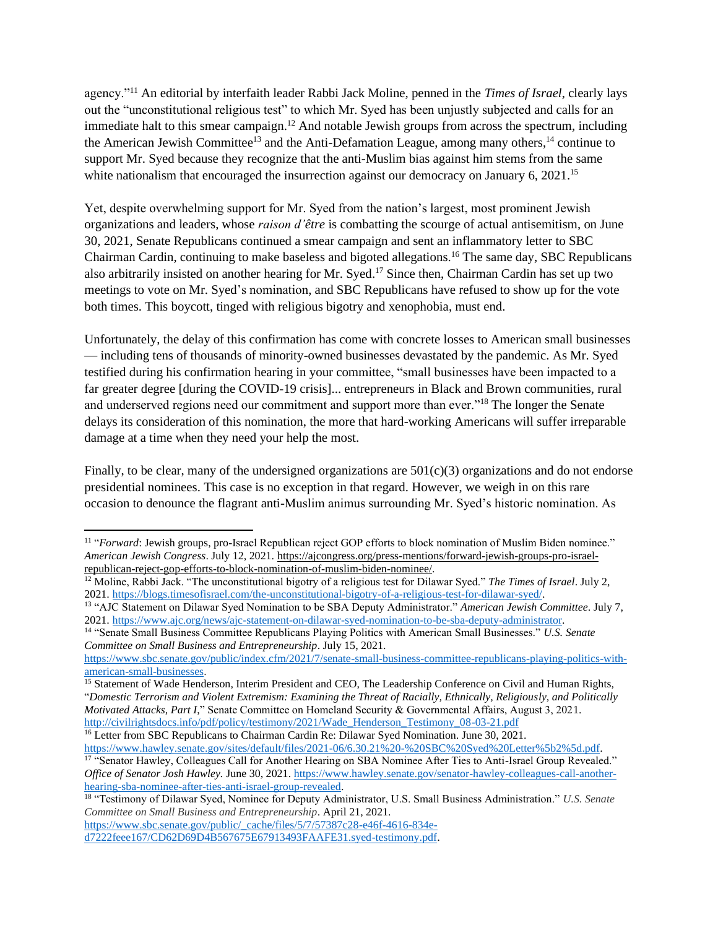agency."<sup>11</sup> An editorial by interfaith leader Rabbi Jack Moline, penned in the *Times of Israel*, clearly lays out the "unconstitutional religious test" to which Mr. Syed has been unjustly subjected and calls for an immediate halt to this smear campaign.<sup>12</sup> And notable Jewish groups from across the spectrum, including the American Jewish Committee<sup>13</sup> and the Anti-Defamation League, among many others,  $14$  continue to support Mr. Syed because they recognize that the anti-Muslim bias against him stems from the same white nationalism that encouraged the insurrection against our democracy on January 6, 2021.<sup>15</sup>

Yet, despite overwhelming support for Mr. Syed from the nation's largest, most prominent Jewish organizations and leaders, whose *raison d'être* is combatting the scourge of actual antisemitism, on June 30, 2021, Senate Republicans continued a smear campaign and sent an inflammatory letter to SBC Chairman Cardin, continuing to make baseless and bigoted allegations.<sup>16</sup> The same day, SBC Republicans also arbitrarily insisted on another hearing for Mr. Syed.<sup>17</sup> Since then, Chairman Cardin has set up two meetings to vote on Mr. Syed's nomination, and SBC Republicans have refused to show up for the vote both times. This boycott, tinged with religious bigotry and xenophobia, must end.

Unfortunately, the delay of this confirmation has come with concrete losses to American small businesses — including tens of thousands of minority-owned businesses devastated by the pandemic. As Mr. Syed testified during his confirmation hearing in your committee, "small businesses have been impacted to a far greater degree [during the COVID-19 crisis]... entrepreneurs in Black and Brown communities, rural and underserved regions need our commitment and support more than ever."<sup>18</sup> The longer the Senate delays its consideration of this nomination, the more that hard-working Americans will suffer irreparable damage at a time when they need your help the most.

Finally, to be clear, many of the undersigned organizations are  $501(c)(3)$  organizations and do not endorse presidential nominees. This case is no exception in that regard. However, we weigh in on this rare occasion to denounce the flagrant anti-Muslim animus surrounding Mr. Syed's historic nomination. As

[https://www.sbc.senate.gov/public/\\_cache/files/5/7/57387c28-e46f-4616-834e](https://www.sbc.senate.gov/public/_cache/files/5/7/57387c28-e46f-4616-834e-d7222feee167/CD62D69D4B567675E67913493FAAFE31.syed-testimony.pdf)[d7222feee167/CD62D69D4B567675E67913493FAAFE31.syed-testimony.pdf.](https://www.sbc.senate.gov/public/_cache/files/5/7/57387c28-e46f-4616-834e-d7222feee167/CD62D69D4B567675E67913493FAAFE31.syed-testimony.pdf)

<sup>&</sup>lt;sup>11</sup> "*Forward*: Jewish groups, pro-Israel Republican reject GOP efforts to block nomination of Muslim Biden nominee." *American Jewish Congress*. July 12, 2021[. https://ajcongress.org/press-mentions/forward-jewish-groups-pro-israel](https://ajcongress.org/press-mentions/forward-jewish-groups-pro-israel-republican-reject-gop-efforts-to-block-nomination-of-muslim-biden-nominee/)[republican-reject-gop-efforts-to-block-nomination-of-muslim-biden-nominee/.](https://ajcongress.org/press-mentions/forward-jewish-groups-pro-israel-republican-reject-gop-efforts-to-block-nomination-of-muslim-biden-nominee/) 

<sup>&</sup>lt;sup>12</sup> Moline, Rabbi Jack. "The unconstitutional bigotry of a religious test for Dilawar Syed." *The Times of Israel*. July 2, 2021. [https://blogs.timesofisrael.com/the-unconstitutional-bigotry-of-a-religious-test-for-dilawar-syed/.](https://blogs.timesofisrael.com/the-unconstitutional-bigotry-of-a-religious-test-for-dilawar-syed/) 

<sup>13</sup> "AJC Statement on Dilawar Syed Nomination to be SBA Deputy Administrator." *American Jewish Committee*. July 7, 2021. [https://www.ajc.org/news/ajc-statement-on-dilawar-syed-nomination-to-be-sba-deputy-administrator.](https://www.ajc.org/news/ajc-statement-on-dilawar-syed-nomination-to-be-sba-deputy-administrator) 

<sup>14</sup> "Senate Small Business Committee Republicans Playing Politics with American Small Businesses." *U.S. Senate Committee on Small Business and Entrepreneurship*. July 15, 2021.

[https://www.sbc.senate.gov/public/index.cfm/2021/7/senate-small-business-committee-republicans-playing-politics-with](https://www.sbc.senate.gov/public/index.cfm/2021/7/senate-small-business-committee-republicans-playing-politics-with-american-small-businesses)[american-small-businesses.](https://www.sbc.senate.gov/public/index.cfm/2021/7/senate-small-business-committee-republicans-playing-politics-with-american-small-businesses)

<sup>&</sup>lt;sup>15</sup> Statement of Wade Henderson, Interim President and CEO, The Leadership Conference on Civil and Human Rights, "*Domestic Terrorism and Violent Extremism: Examining the Threat of Racially, Ethnically, Religiously, and Politically Motivated Attacks, Part I*," Senate Committee on Homeland Security & Governmental Affairs, August 3, 2021. [http://civilrightsdocs.info/pdf/policy/testimony/2021/Wade\\_Henderson\\_Testimony\\_08-03-21.pdf](http://civilrightsdocs.info/pdf/policy/testimony/2021/Wade_Henderson_Testimony_08-03-21.pdf)

<sup>&</sup>lt;sup>16</sup> Letter from SBC Republicans to Chairman Cardin Re: Dilawar Syed Nomination. June 30, 2021. [https://www.hawley.senate.gov/sites/default/files/2021-06/6.30.21%20-%20SBC%20Syed%20Letter%5b2%5d.pdf.](https://www.hawley.senate.gov/sites/default/files/2021-06/6.30.21%20-%20SBC%20Syed%20Letter%5b2%5d.pdf)

<sup>&</sup>lt;sup>17</sup> "Senator Hawley, Colleagues Call for Another Hearing on SBA Nominee After Ties to Anti-Israel Group Revealed." *Office of Senator Josh Hawley.* June 30, 2021[. https://www.hawley.senate.gov/senator-hawley-colleagues-call-another](https://www.hawley.senate.gov/senator-hawley-colleagues-call-another-hearing-sba-nominee-after-ties-anti-israel-group-revealed)[hearing-sba-nominee-after-ties-anti-israel-group-revealed.](https://www.hawley.senate.gov/senator-hawley-colleagues-call-another-hearing-sba-nominee-after-ties-anti-israel-group-revealed)

<sup>18</sup> "Testimony of Dilawar Syed, Nominee for Deputy Administrator, U.S. Small Business Administration." *U.S. Senate Committee on Small Business and Entrepreneurship*. April 21, 2021.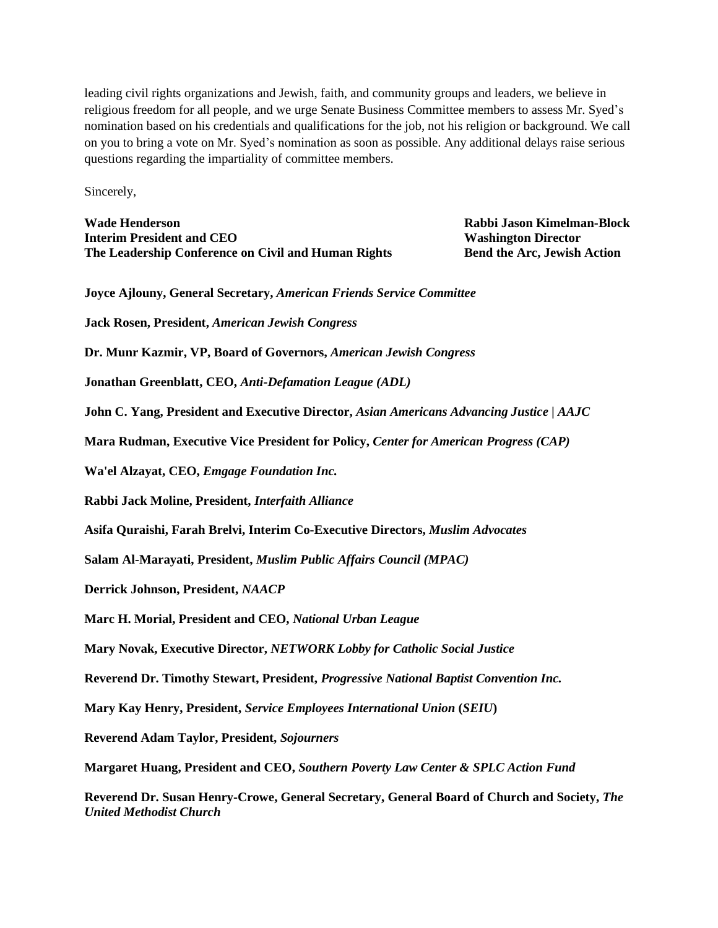leading civil rights organizations and Jewish, faith, and community groups and leaders, we believe in religious freedom for all people, and we urge Senate Business Committee members to assess Mr. Syed's nomination based on his credentials and qualifications for the job, not his religion or background. We call on you to bring a vote on Mr. Syed's nomination as soon as possible. Any additional delays raise serious questions regarding the impartiality of committee members.

Sincerely,

**Wade Henderson Rabbi Jason Kimelman-Block Interim President and CEO Washington Director The Leadership Conference on Civil and Human Rights Bend the Arc, Jewish Action**

**Joyce Ajlouny, General Secretary,** *American Friends Service Committee*

**Jack Rosen, President,** *American Jewish Congress*

**Dr. Munr Kazmir, VP, Board of Governors,** *American Jewish Congress*

**Jonathan Greenblatt, CEO,** *Anti-Defamation League (ADL)*

**John C. Yang, President and Executive Director,** *Asian Americans Advancing Justice | AAJC*

**Mara Rudman, Executive Vice President for Policy,** *Center for American Progress (CAP)*

**Wa'el Alzayat, CEO,** *Emgage Foundation Inc.*

**Rabbi Jack Moline, President,** *Interfaith Alliance*

**Asifa Quraishi, Farah Brelvi, Interim Co-Executive Directors,** *Muslim Advocates*

**Salam Al-Marayati, President,** *Muslim Public Affairs Council (MPAC)*

**Derrick Johnson, President,** *NAACP*

**Marc H. Morial, President and CEO,** *National Urban League*

**Mary Novak, Executive Director,** *NETWORK Lobby for Catholic Social Justice*

**Reverend Dr. Timothy Stewart, President,** *Progressive National Baptist Convention Inc.*

**Mary Kay Henry, President,** *Service Employees International Union* **(***SEIU***)**

**Reverend Adam Taylor, President,** *Sojourners*

**Margaret Huang, President and CEO,** *Southern Poverty Law Center & SPLC Action Fund*

**Reverend Dr. Susan Henry-Crowe, General Secretary, General Board of Church and Society,** *The United Methodist Church*